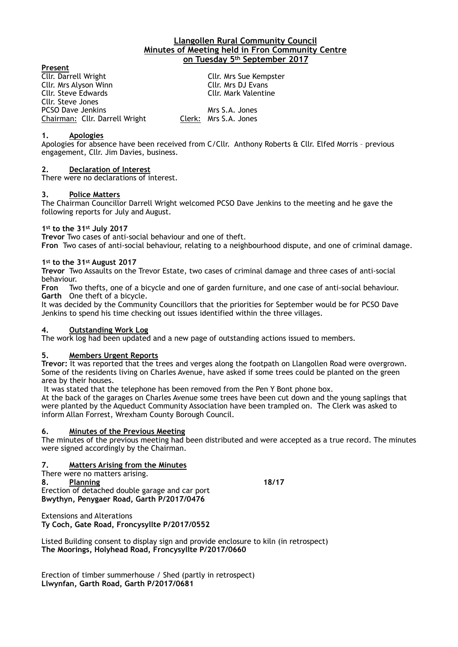### **Llangollen Rural Community Council Minutes of Meeting held in Fron Community Centre on Tuesday 5th September 2017**

**Present**<br>Cllr. Darrell Wright Cllr. Mrs Sue Kempster Cllr. Mrs Alyson Winn Cllr. Mrs DJ Evans Cllr. Steve Edwards Cllr. Steve Jones PCSO Dave Jenkins Mrs S.A. Jones Chairman: Cllr. Darrell Wright Clerk: Mrs S.A. Jones

### **1. Apologies**

Apologies for absence have been received from C/Cllr. Anthony Roberts & Cllr. Elfed Morris – previous engagement, Cllr. Jim Davies, business.

### **2. Declaration of Interest**

There were no declarations of interest.

## **3. Police Matters**

The Chairman Councillor Darrell Wright welcomed PCSO Dave Jenkins to the meeting and he gave the following reports for July and August.

### **1st to the 31st July 2017**

**Trevor** Two cases of anti-social behaviour and one of theft. **Fron** Two cases of anti-social behaviour, relating to a neighbourhood dispute, and one of criminal damage.

#### **1st to the 31st August 2017**

**Trevor** Two Assaults on the Trevor Estate, two cases of criminal damage and three cases of anti-social behaviour.

**Fron** Two thefts, one of a bicycle and one of garden furniture, and one case of anti-social behaviour. **Garth** One theft of a bicycle.

It was decided by the Community Councillors that the priorities for September would be for PCSO Dave Jenkins to spend his time checking out issues identified within the three villages.

# **4. Outstanding Work Log**

The work log had been updated and a new page of outstanding actions issued to members.

# **5. Members Urgent Reports**

**Trevor:** It was reported that the trees and verges along the footpath on Llangollen Road were overgrown. Some of the residents living on Charles Avenue, have asked if some trees could be planted on the green area by their houses.

It was stated that the telephone has been removed from the Pen Y Bont phone box.

At the back of the garages on Charles Avenue some trees have been cut down and the young saplings that were planted by the Aqueduct Community Association have been trampled on. The Clerk was asked to inform Allan Forrest, Wrexham County Borough Council.

#### **6. Minutes of the Previous Meeting**

The minutes of the previous meeting had been distributed and were accepted as a true record. The minutes were signed accordingly by the Chairman.

# **7. Matters Arising from the Minutes**

There were no matters arising. **8. Planning 18/17**  Erection of detached double garage and car port **Bwythyn, Penygaer Road, Garth P/2017/0476** 

Extensions and Alterations **Ty Coch, Gate Road, Froncysyllte P/2017/0552** 

Listed Building consent to display sign and provide enclosure to kiln (in retrospect) **The Moorings, Holyhead Road, Froncysyllte P/2017/0660** 

Erection of timber summerhouse / Shed (partly in retrospect) **Llwynfan, Garth Road, Garth P/2017/0681**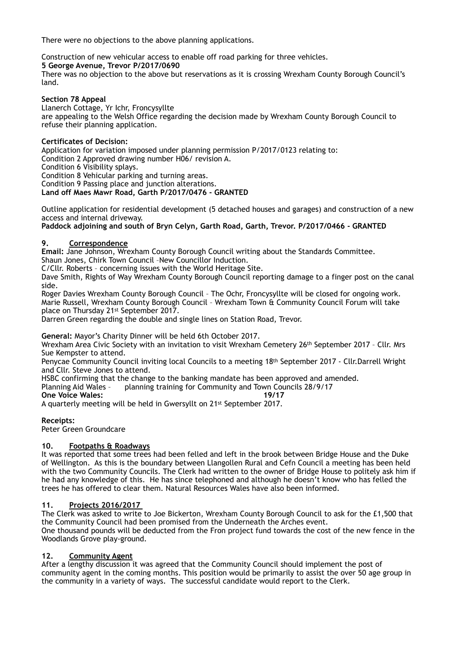There were no objections to the above planning applications.

Construction of new vehicular access to enable off road parking for three vehicles. **5 George Avenue, Trevor P/2017/0690** 

There was no objection to the above but reservations as it is crossing Wrexham County Borough Council's land.

### **Section 78 Appeal**

Llanerch Cottage, Yr Ichr, Froncysyllte are appealing to the Welsh Office regarding the decision made by Wrexham County Borough Council to refuse their planning application.

## **Certificates of Decision:**

Application for variation imposed under planning permission P/2017/0123 relating to: Condition 2 Approved drawing number H06/ revision A.

Condition 6 Visibility splays.

Condition 8 Vehicular parking and turning areas.

Condition 9 Passing place and junction alterations.

# **Land off Maes Mawr Road, Garth P/2017/0476 - GRANTED**

Outline application for residential development (5 detached houses and garages) and construction of a new access and internal driveway.

**Paddock adjoining and south of Bryn Celyn, Garth Road, Garth, Trevor. P/2017/0466 - GRANTED** 

### **9. Correspondence**

**Email:** Jane Johnson, Wrexham County Borough Council writing about the Standards Committee. Shaun Jones, Chirk Town Council –New Councillor Induction.

C/Cllr. Roberts – concerning issues with the World Heritage Site.

Dave Smith, Rights of Way Wrexham County Borough Council reporting damage to a finger post on the canal side.

Roger Davies Wrexham County Borough Council – The Ochr, Froncysyllte will be closed for ongoing work. Marie Russell, Wrexham County Borough Council – Wrexham Town & Community Council Forum will take place on Thursday 21st September 2017.

Darren Green regarding the double and single lines on Station Road, Trevor.

**General:** Mayor's Charity Dinner will be held 6th October 2017.

Wrexham Area Civic Society with an invitation to visit Wrexham Cemetery 26th September 2017 – Cllr. Mrs Sue Kempster to attend.

Penycae Community Council inviting local Councils to a meeting 18th September 2017 - Cllr.Darrell Wright and Cllr. Steve Jones to attend.

HSBC confirming that the change to the banking mandate has been approved and amended.<br>Planning Aid Wales - planning training for Community and Town Councils 28/9/17

planning training for Community and Town Councils 28/9/17

**One Voice Wales:** 19/17

A quarterly meeting will be held in Gwersyllt on 21st September 2017.

**Receipts:** 

Peter Green Groundcare

# **10. Footpaths & Roadways**

It was reported that some trees had been felled and left in the brook between Bridge House and the Duke of Wellington. As this is the boundary between Llangollen Rural and Cefn Council a meeting has been held with the two Community Councils. The Clerk had written to the owner of Bridge House to politely ask him if he had any knowledge of this. He has since telephoned and although he doesn't know who has felled the trees he has offered to clear them. Natural Resources Wales have also been informed.

# **11. Projects 2016/2017**

The Clerk was asked to write to Joe Bickerton, Wrexham County Borough Council to ask for the £1,500 that the Community Council had been promised from the Underneath the Arches event. One thousand pounds will be deducted from the Fron project fund towards the cost of the new fence in the

Woodlands Grove play-ground.

# **12. Community Agent**

After a lengthy discussion it was agreed that the Community Council should implement the post of community agent in the coming months. This position would be primarily to assist the over 50 age group in the community in a variety of ways. The successful candidate would report to the Clerk.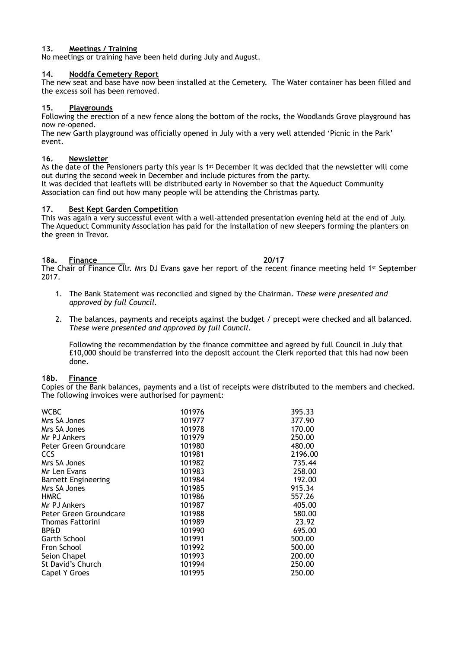### **13. Meetings / Training**

No meetings or training have been held during July and August.

### **14. Noddfa Cemetery Report**

The new seat and base have now been installed at the Cemetery. The Water container has been filled and the excess soil has been removed.

### **15. Playgrounds**

Following the erection of a new fence along the bottom of the rocks, the Woodlands Grove playground has now re-opened.

The new Garth playground was officially opened in July with a very well attended 'Picnic in the Park' event.

#### **16. Newsletter**

As the date of the Pensioners party this year is 1<sup>st</sup> December it was decided that the newsletter will come out during the second week in December and include pictures from the party. It was decided that leaflets will be distributed early in November so that the Aqueduct Community

Association can find out how many people will be attending the Christmas party.

### **17. Best Kept Garden Competition**

This was again a very successful event with a well-attended presentation evening held at the end of July. The Aqueduct Community Association has paid for the installation of new sleepers forming the planters on the green in Trevor.

#### **18a. Finance 20/17**

The Chair of Finance Cllr. Mrs DJ Evans gave her report of the recent finance meeting held 1st September 2017.

- 1. The Bank Statement was reconciled and signed by the Chairman. *These were presented and approved by full Council.*
- 2. The balances, payments and receipts against the budget / precept were checked and all balanced. *These were presented and approved by full Council.*

Following the recommendation by the finance committee and agreed by full Council in July that £10,000 should be transferred into the deposit account the Clerk reported that this had now been done.

#### **18b. Finance**

Copies of the Bank balances, payments and a list of receipts were distributed to the members and checked. The following invoices were authorised for payment:

| <b>WCBC</b>                | 101976 | 395.33  |
|----------------------------|--------|---------|
| Mrs SA Jones               | 101977 | 377.90  |
| Mrs SA Jones               | 101978 | 170.00  |
| Mr PJ Ankers               | 101979 | 250.00  |
| Peter Green Groundcare     | 101980 | 480.00  |
| <b>CCS</b>                 | 101981 | 2196.00 |
| Mrs SA Jones               | 101982 | 735.44  |
| Mr Len Evans               | 101983 | 258.00  |
| <b>Barnett Engineering</b> | 101984 | 192.00  |
| Mrs SA Jones               | 101985 | 915.34  |
| <b>HMRC</b>                | 101986 | 557.26  |
| Mr PJ Ankers               | 101987 | 405.00  |
| Peter Green Groundcare     | 101988 | 580.00  |
| <b>Thomas Fattorini</b>    | 101989 | 23.92   |
| <b>BP&amp;D</b>            | 101990 | 695.00  |
| <b>Garth School</b>        | 101991 | 500.00  |
| Fron School                | 101992 | 500.00  |
| Seion Chapel               | 101993 | 200.00  |
| St David's Church          | 101994 | 250.00  |
| Capel Y Groes              | 101995 | 250.00  |
|                            |        |         |